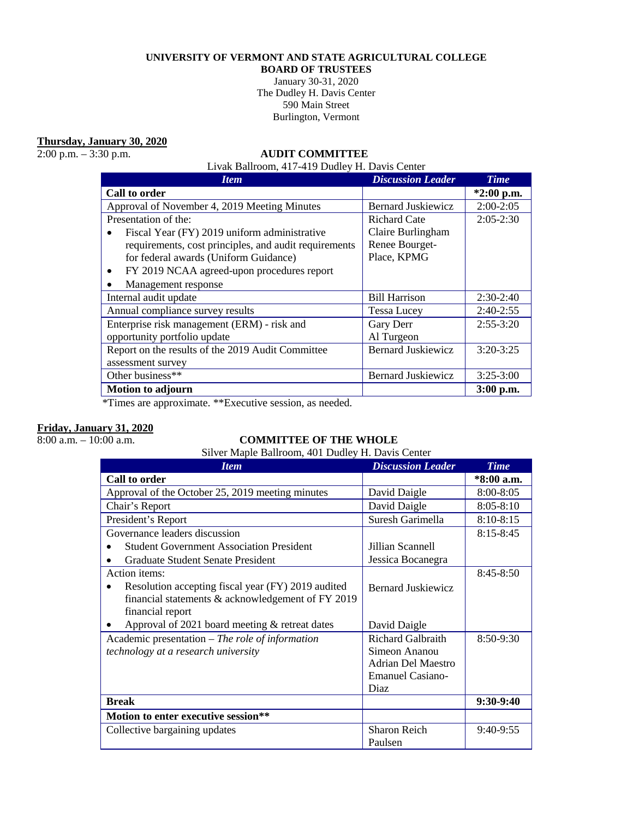### **UNIVERSITY OF VERMONT AND STATE AGRICULTURAL COLLEGE**

**BOARD OF TRUSTEES**

January 30-31, 2020 The Dudley H. Davis Center 590 Main Street Burlington, Vermont

**Thursday, January 30, 2020**<br>2:00 p.m. – 3:30 p.m.

### 2:00 p.m. – 3:30 p.m. **AUDIT COMMITTEE**

Livak Ballroom, 417-419 Dudley H. Davis Center

| <b>Item</b>                                             | <b>Discussion Leader</b>  | <b>Time</b>  |
|---------------------------------------------------------|---------------------------|--------------|
| Call to order                                           |                           | $*2:00$ p.m. |
| Approval of November 4, 2019 Meeting Minutes            | <b>Bernard Juskiewicz</b> | $2:00-2:05$  |
| Presentation of the:                                    | <b>Richard Cate</b>       | $2:05-2:30$  |
| Fiscal Year (FY) 2019 uniform administrative            | Claire Burlingham         |              |
| requirements, cost principles, and audit requirements   | Renee Bourget-            |              |
| for federal awards (Uniform Guidance)                   | Place, KPMG               |              |
| FY 2019 NCAA agreed-upon procedures report<br>$\bullet$ |                           |              |
| Management response                                     |                           |              |
| Internal audit update                                   | <b>Bill Harrison</b>      | $2:30-2:40$  |
| Annual compliance survey results                        | <b>Tessa Lucey</b>        | $2:40-2:55$  |
| Enterprise risk management (ERM) - risk and             | Gary Derr                 | $2:55-3:20$  |
| opportunity portfolio update                            | Al Turgeon                |              |
| Report on the results of the 2019 Audit Committee       | <b>Bernard Juskiewicz</b> | $3:20-3:25$  |
| assessment survey                                       |                           |              |
| Other business**                                        | <b>Bernard Juskiewicz</b> | $3:25-3:00$  |
| <b>Motion to adjourn</b>                                |                           | $3:00$ p.m.  |

\*Times are approximate. \*\*Executive session, as needed.

# **Friday, January 31, 2020**<br>8:00 a.m. – 10:00 a.m.

### COMMITTEE OF THE WHOLE

Silver Maple Ballroom, 401 Dudley H. Davis Center

| <b>Item</b>                                        | <b>Discussion Leader</b>  | <b>Time</b>   |
|----------------------------------------------------|---------------------------|---------------|
| Call to order                                      |                           | *8:00 a.m.    |
| Approval of the October 25, 2019 meeting minutes   | David Daigle              | 8:00-8:05     |
| Chair's Report                                     | David Daigle              | $8:05 - 8:10$ |
| President's Report                                 | Suresh Garimella          | $8:10 - 8:15$ |
| Governance leaders discussion                      |                           | $8:15 - 8:45$ |
| <b>Student Government Association President</b>    | Jillian Scannell          |               |
| Graduate Student Senate President                  | Jessica Bocanegra         |               |
| Action items:                                      |                           | $8:45 - 8:50$ |
| Resolution accepting fiscal year (FY) 2019 audited | <b>Bernard Juskiewicz</b> |               |
| financial statements & acknowledgement of FY 2019  |                           |               |
| financial report                                   |                           |               |
| Approval of 2021 board meeting $&$ retreat dates   | David Daigle              |               |
| Academic presentation $-$ The role of information  | <b>Richard Galbraith</b>  | 8:50-9:30     |
| technology at a research university                | Simeon Ananou             |               |
|                                                    | <b>Adrian Del Maestro</b> |               |
|                                                    | <b>Emanuel Casiano-</b>   |               |
|                                                    | <b>Diaz</b>               |               |
| <b>Break</b>                                       |                           | 9:30-9:40     |
| Motion to enter executive session**                |                           |               |
| Collective bargaining updates                      | <b>Sharon Reich</b>       | 9:40-9:55     |
|                                                    | Paulsen                   |               |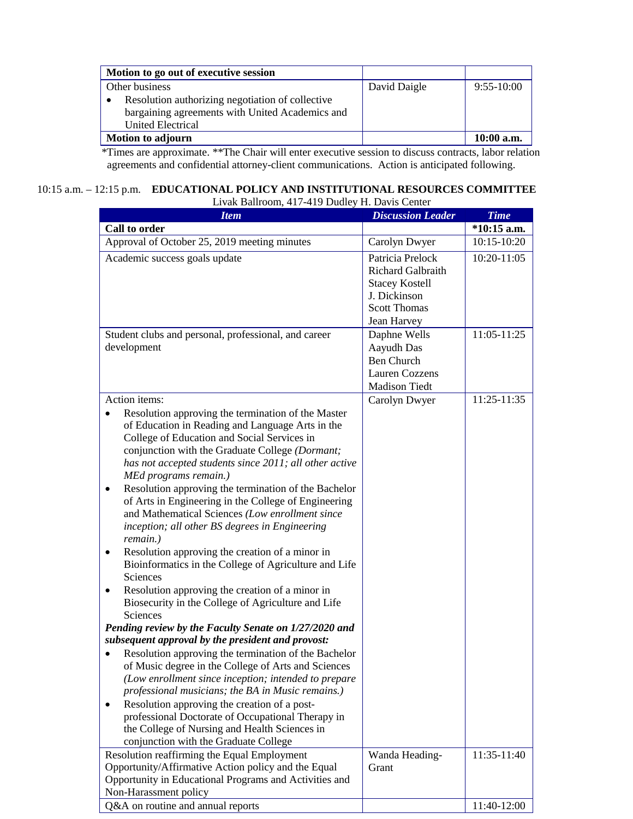| Motion to go out of executive session            |              |              |
|--------------------------------------------------|--------------|--------------|
| Other business                                   | David Daigle | $9:55-10:00$ |
| Resolution authorizing negotiation of collective |              |              |
| bargaining agreements with United Academics and  |              |              |
| United Electrical                                |              |              |
| <b>Motion to adjourn</b>                         |              | $10:00$ a.m. |

 \*Times are approximate. \*\*The Chair will enter executive session to discuss contracts, labor relation agreements and confidential attorney-client communications. Action is anticipated following.

## 10:15 a.m. – 12:15 p.m. **EDUCATIONAL POLICY AND INSTITUTIONAL RESOURCES COMMITTEE**

| Livak Ballroom, 417-419 Dudley H. Davis Center                                                                                                                                                                                                                                                                                                                                                                                                                                                                                                                                                                                                                                                                                                                                                                                                                                                                                                                                                                                                                                                                                                                                                                                                                                                                                                                   |                                                                                                                      |               |  |
|------------------------------------------------------------------------------------------------------------------------------------------------------------------------------------------------------------------------------------------------------------------------------------------------------------------------------------------------------------------------------------------------------------------------------------------------------------------------------------------------------------------------------------------------------------------------------------------------------------------------------------------------------------------------------------------------------------------------------------------------------------------------------------------------------------------------------------------------------------------------------------------------------------------------------------------------------------------------------------------------------------------------------------------------------------------------------------------------------------------------------------------------------------------------------------------------------------------------------------------------------------------------------------------------------------------------------------------------------------------|----------------------------------------------------------------------------------------------------------------------|---------------|--|
| <b>Item</b>                                                                                                                                                                                                                                                                                                                                                                                                                                                                                                                                                                                                                                                                                                                                                                                                                                                                                                                                                                                                                                                                                                                                                                                                                                                                                                                                                      | <b>Discussion Leader</b>                                                                                             | <b>Time</b>   |  |
| Call to order                                                                                                                                                                                                                                                                                                                                                                                                                                                                                                                                                                                                                                                                                                                                                                                                                                                                                                                                                                                                                                                                                                                                                                                                                                                                                                                                                    |                                                                                                                      | $*10:15$ a.m. |  |
| Approval of October 25, 2019 meeting minutes                                                                                                                                                                                                                                                                                                                                                                                                                                                                                                                                                                                                                                                                                                                                                                                                                                                                                                                                                                                                                                                                                                                                                                                                                                                                                                                     | Carolyn Dwyer                                                                                                        | 10:15-10:20   |  |
| Academic success goals update                                                                                                                                                                                                                                                                                                                                                                                                                                                                                                                                                                                                                                                                                                                                                                                                                                                                                                                                                                                                                                                                                                                                                                                                                                                                                                                                    | Patricia Prelock<br>Richard Galbraith<br><b>Stacey Kostell</b><br>J. Dickinson<br><b>Scott Thomas</b><br>Jean Harvey | $10:20-11:05$ |  |
| Student clubs and personal, professional, and career<br>development                                                                                                                                                                                                                                                                                                                                                                                                                                                                                                                                                                                                                                                                                                                                                                                                                                                                                                                                                                                                                                                                                                                                                                                                                                                                                              | Daphne Wells<br>Aayudh Das<br><b>Ben Church</b><br><b>Lauren Cozzens</b><br><b>Madison Tiedt</b>                     | 11:05-11:25   |  |
| Action items:                                                                                                                                                                                                                                                                                                                                                                                                                                                                                                                                                                                                                                                                                                                                                                                                                                                                                                                                                                                                                                                                                                                                                                                                                                                                                                                                                    | Carolyn Dwyer                                                                                                        | 11:25-11:35   |  |
| Resolution approving the termination of the Master<br>of Education in Reading and Language Arts in the<br>College of Education and Social Services in<br>conjunction with the Graduate College (Dormant;<br>has not accepted students since 2011; all other active<br>MEd programs remain.)<br>Resolution approving the termination of the Bachelor<br>of Arts in Engineering in the College of Engineering<br>and Mathematical Sciences (Low enrollment since<br>inception; all other BS degrees in Engineering<br>remain.)<br>Resolution approving the creation of a minor in<br>Bioinformatics in the College of Agriculture and Life<br>Sciences<br>Resolution approving the creation of a minor in<br>$\bullet$<br>Biosecurity in the College of Agriculture and Life<br><b>Sciences</b><br>Pending review by the Faculty Senate on 1/27/2020 and<br>subsequent approval by the president and provost:<br>Resolution approving the termination of the Bachelor<br>$\bullet$<br>of Music degree in the College of Arts and Sciences<br>(Low enrollment since inception; intended to prepare<br>professional musicians; the BA in Music remains.)<br>Resolution approving the creation of a post-<br>$\bullet$<br>professional Doctorate of Occupational Therapy in<br>the College of Nursing and Health Sciences in<br>conjunction with the Graduate College |                                                                                                                      |               |  |
| Resolution reaffirming the Equal Employment                                                                                                                                                                                                                                                                                                                                                                                                                                                                                                                                                                                                                                                                                                                                                                                                                                                                                                                                                                                                                                                                                                                                                                                                                                                                                                                      | Wanda Heading-                                                                                                       | 11:35-11:40   |  |
| Opportunity/Affirmative Action policy and the Equal<br>Opportunity in Educational Programs and Activities and<br>Non-Harassment policy                                                                                                                                                                                                                                                                                                                                                                                                                                                                                                                                                                                                                                                                                                                                                                                                                                                                                                                                                                                                                                                                                                                                                                                                                           | Grant                                                                                                                |               |  |
| Q&A on routine and annual reports                                                                                                                                                                                                                                                                                                                                                                                                                                                                                                                                                                                                                                                                                                                                                                                                                                                                                                                                                                                                                                                                                                                                                                                                                                                                                                                                |                                                                                                                      | 11:40-12:00   |  |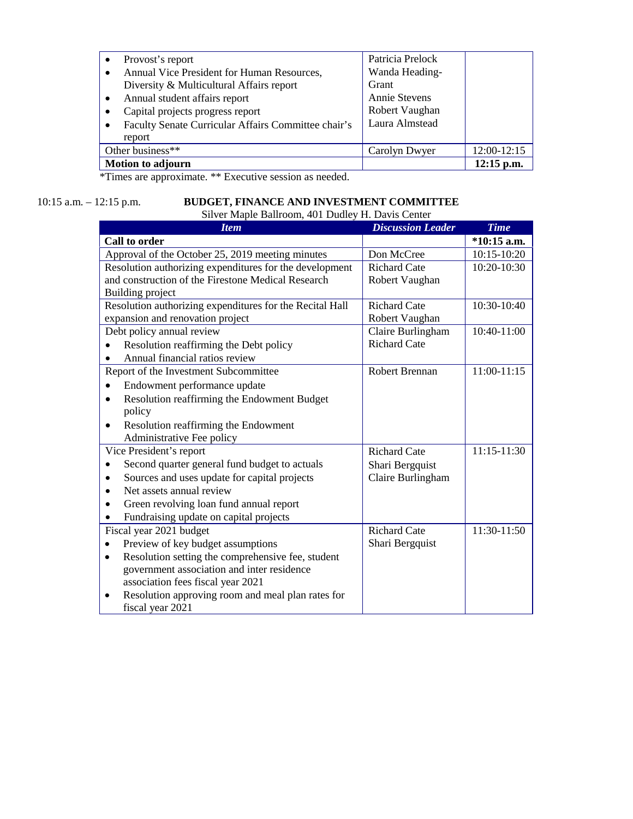| Provost's report                                                 | Patricia Prelock     |              |
|------------------------------------------------------------------|----------------------|--------------|
| Annual Vice President for Human Resources,                       | Wanda Heading-       |              |
| Diversity & Multicultural Affairs report                         | Grant                |              |
| Annual student affairs report<br>$\bullet$                       | <b>Annie Stevens</b> |              |
| Capital projects progress report<br>$\bullet$                    | Robert Vaughan       |              |
| Faculty Senate Curricular Affairs Committee chair's<br>$\bullet$ | Laura Almstead       |              |
| report                                                           |                      |              |
| Other business**                                                 | Carolyn Dwyer        | 12:00-12:15  |
| <b>Motion to adjourn</b>                                         |                      | $12:15$ p.m. |

\*Times are approximate. \*\* Executive session as needed.

# 10:15 a.m. – 12:15 p.m. **BUDGET, FINANCE AND INVESTMENT COMMITTEE**

| Silver Maple Ballroom, 401 Dudley H. Davis Center              |                          |               |  |
|----------------------------------------------------------------|--------------------------|---------------|--|
| <b>Item</b>                                                    | <b>Discussion Leader</b> | <b>Time</b>   |  |
| Call to order                                                  |                          | $*10:15$ a.m. |  |
| Approval of the October 25, 2019 meeting minutes               | Don McCree               | 10:15-10:20   |  |
| Resolution authorizing expenditures for the development        | <b>Richard Cate</b>      | 10:20-10:30   |  |
| and construction of the Firestone Medical Research             | Robert Vaughan           |               |  |
| Building project                                               |                          |               |  |
| Resolution authorizing expenditures for the Recital Hall       | <b>Richard Cate</b>      | 10:30-10:40   |  |
| expansion and renovation project                               | Robert Vaughan           |               |  |
| Debt policy annual review                                      | Claire Burlingham        | 10:40-11:00   |  |
| Resolution reaffirming the Debt policy                         | <b>Richard Cate</b>      |               |  |
| Annual financial ratios review                                 |                          |               |  |
| Report of the Investment Subcommittee                          | Robert Brennan           | 11:00-11:15   |  |
| Endowment performance update<br>$\bullet$                      |                          |               |  |
| Resolution reaffirming the Endowment Budget<br>$\bullet$       |                          |               |  |
| policy                                                         |                          |               |  |
| Resolution reaffirming the Endowment<br>$\bullet$              |                          |               |  |
| Administrative Fee policy                                      |                          |               |  |
| Vice President's report                                        | <b>Richard Cate</b>      | 11:15-11:30   |  |
| Second quarter general fund budget to actuals                  | Shari Bergquist          |               |  |
| Sources and uses update for capital projects<br>$\bullet$      | Claire Burlingham        |               |  |
| Net assets annual review<br>$\bullet$                          |                          |               |  |
| Green revolving loan fund annual report<br>$\bullet$           |                          |               |  |
| Fundraising update on capital projects<br>$\bullet$            |                          |               |  |
| Fiscal year 2021 budget                                        | <b>Richard Cate</b>      | 11:30-11:50   |  |
| Preview of key budget assumptions                              | Shari Bergquist          |               |  |
| Resolution setting the comprehensive fee, student<br>$\bullet$ |                          |               |  |
| government association and inter residence                     |                          |               |  |
| association fees fiscal year 2021                              |                          |               |  |
| Resolution approving room and meal plan rates for<br>$\bullet$ |                          |               |  |
| fiscal year 2021                                               |                          |               |  |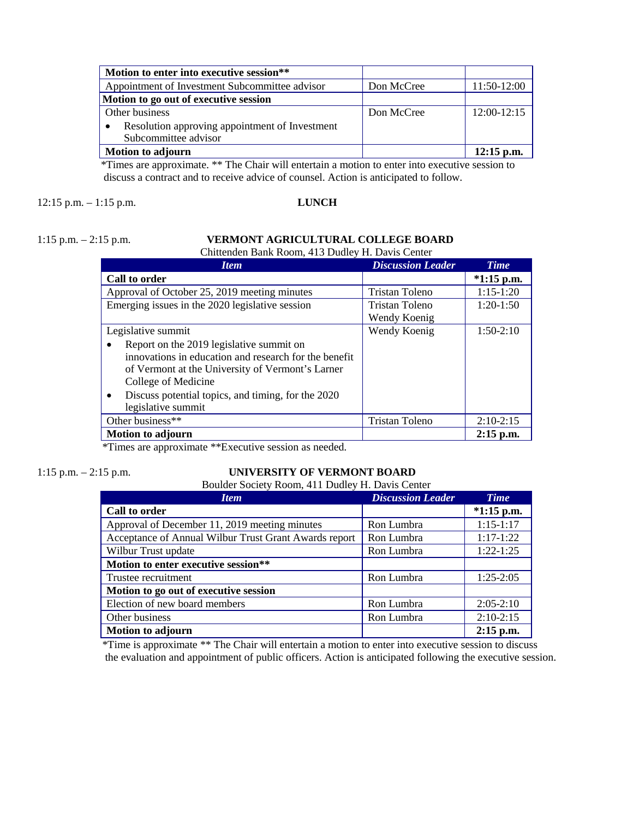| Motion to enter into executive session**       |            |               |
|------------------------------------------------|------------|---------------|
| Appointment of Investment Subcommittee advisor | Don McCree | 11:50-12:00   |
| Motion to go out of executive session          |            |               |
| Other business                                 | Don McCree | $12:00-12:15$ |
| Resolution approving appointment of Investment |            |               |
| Subcommittee advisor                           |            |               |
| Motion to adjourn                              |            | $12:15$ p.m.  |

 \*Times are approximate. \*\* The Chair will entertain a motion to enter into executive session to discuss a contract and to receive advice of counsel. Action is anticipated to follow.

#### 12:15 p.m. – 1:15 p.m. **LUNCH**

#### 1:15 p.m. – 2:15 p.m. **VERMONT AGRICULTURAL COLLEGE BOARD** Chittenden Bank Room, 413 Dudley H. Davis Center

| <b>Item</b>                                                     | <b>Discussion Leader</b> | <b>Time</b>  |
|-----------------------------------------------------------------|--------------------------|--------------|
| Call to order                                                   |                          | $*1:15$ p.m. |
| Approval of October 25, 2019 meeting minutes                    | Tristan Toleno           | $1:15-1:20$  |
| Emerging issues in the 2020 legislative session                 | Tristan Toleno           | $1:20-1:50$  |
|                                                                 | Wendy Koenig             |              |
| Legislative summit                                              | Wendy Koenig             | $1:50-2:10$  |
| Report on the 2019 legislative summit on                        |                          |              |
| innovations in education and research for the benefit           |                          |              |
| of Vermont at the University of Vermont's Larner                |                          |              |
| College of Medicine                                             |                          |              |
| Discuss potential topics, and timing, for the 2020<br>$\bullet$ |                          |              |
| legislative summit                                              |                          |              |
| Other business**                                                | Tristan Toleno           | $2:10-2:15$  |
| <b>Motion to adjourn</b>                                        |                          | $2:15$ p.m.  |

\*Times are approximate \*\*Executive session as needed.

#### 1:15 p.m. – 2:15 p.m. **UNIVERSITY OF VERMONT BOARD**

#### Boulder Society Room, 411 Dudley H. Davis Center

| <b>Item</b>                                           | <b>Discussion Leader</b> | <b>Time</b>  |
|-------------------------------------------------------|--------------------------|--------------|
| Call to order                                         |                          | $*1:15$ p.m. |
| Approval of December 11, 2019 meeting minutes         | Ron Lumbra               | $1:15-1:17$  |
| Acceptance of Annual Wilbur Trust Grant Awards report | Ron Lumbra               | $1:17-1:22$  |
| Wilbur Trust update                                   | Ron Lumbra               | $1:22-1:25$  |
| Motion to enter executive session**                   |                          |              |
| Trustee recruitment                                   | Ron Lumbra               | $1:25-2:05$  |
| Motion to go out of executive session                 |                          |              |
| Election of new board members                         | Ron Lumbra               | $2:05-2:10$  |
| Other business                                        | Ron Lumbra               | $2:10-2:15$  |
| <b>Motion to adjourn</b>                              |                          | $2:15$ p.m.  |

\*Time is approximate \*\* The Chair will entertain a motion to enter into executive session to discuss the evaluation and appointment of public officers. Action is anticipated following the executive session.